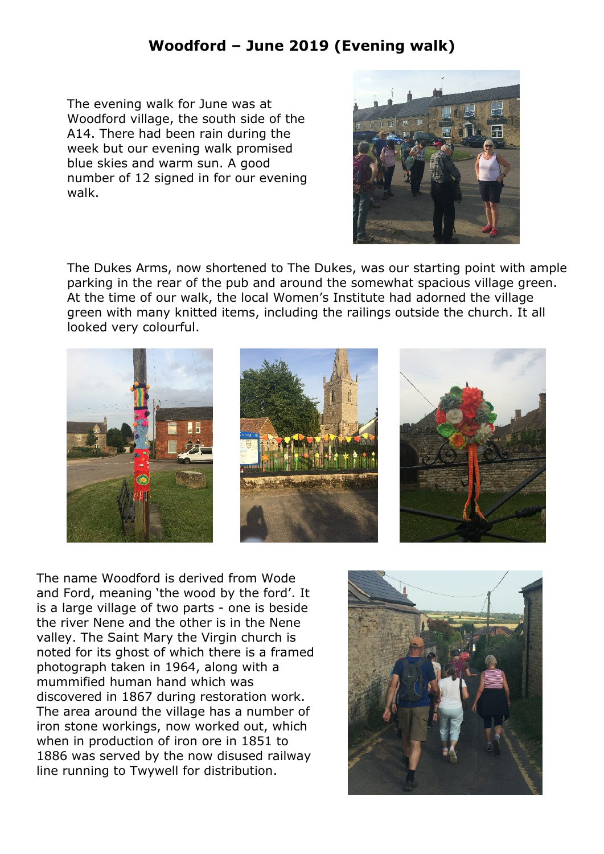## **Woodford – June 2019 (Evening walk)**

The evening walk for June was at Woodford village, the south side of the A14. There had been rain during the week but our evening walk promised blue skies and warm sun. A good number of 12 signed in for our evening walk.



The Dukes Arms, now shortened to The Dukes, was our starting point with ample parking in the rear of the pub and around the somewhat spacious village green. At the time of our walk, the local Women's Institute had adorned the village green with many knitted items, including the railings outside the church. It all looked very colourful.







The name Woodford is derived from Wode and Ford, meaning 'the wood by the ford'. It is a large village of two parts - one is beside the river Nene and the other is in the Nene valley. The Saint Mary the Virgin church is noted for its ghost of which there is a framed photograph taken in 1964, along with a mummified human hand which was discovered in 1867 during restoration work. The area around the village has a number of iron stone workings, now worked out, which when in production of iron ore in 1851 to 1886 was served by the now disused railway line running to Twywell for distribution.

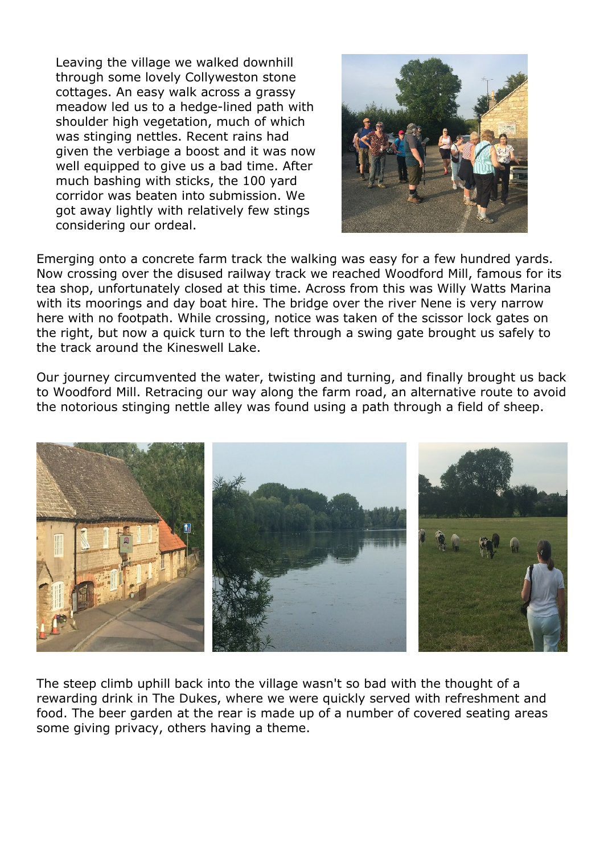Leaving the village we walked downhill through some lovely Collyweston stone cottages. An easy walk across a grassy meadow led us to a hedge-lined path with shoulder high vegetation, much of which was stinging nettles. Recent rains had given the verbiage a boost and it was now well equipped to give us a bad time. After much bashing with sticks, the 100 yard corridor was beaten into submission. We got away lightly with relatively few stings considering our ordeal.



Emerging onto a concrete farm track the walking was easy for a few hundred yards. Now crossing over the disused railway track we reached Woodford Mill, famous for its tea shop, unfortunately closed at this time. Across from this was Willy Watts Marina with its moorings and day boat hire. The bridge over the river Nene is very narrow here with no footpath. While crossing, notice was taken of the scissor lock gates on the right, but now a quick turn to the left through a swing gate brought us safely to the track around the Kineswell Lake.

Our journey circumvented the water, twisting and turning, and finally brought us back to Woodford Mill. Retracing our way along the farm road, an alternative route to avoid the notorious stinging nettle alley was found using a path through a field of sheep.



The steep climb uphill back into the village wasn't so bad with the thought of a rewarding drink in The Dukes, where we were quickly served with refreshment and food. The beer garden at the rear is made up of a number of covered seating areas some giving privacy, others having a theme.